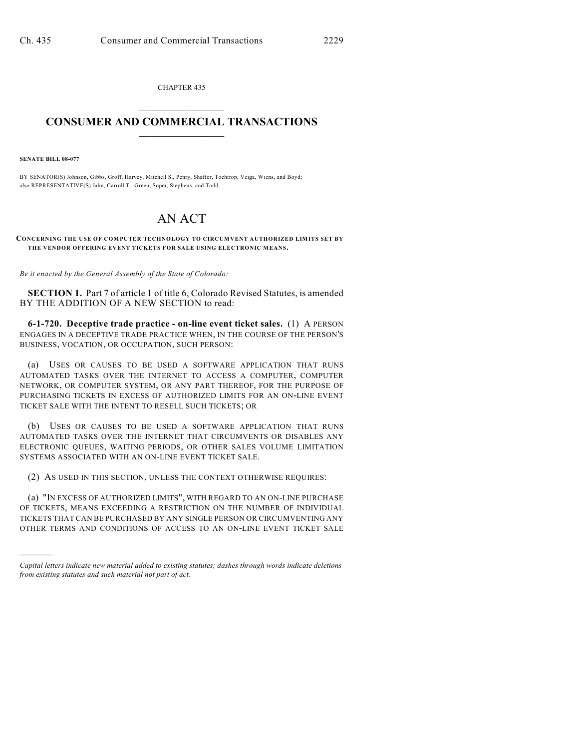CHAPTER 435  $\overline{\phantom{a}}$  . The set of the set of the set of the set of the set of the set of the set of the set of the set of the set of the set of the set of the set of the set of the set of the set of the set of the set of the set o

## **CONSUMER AND COMMERCIAL TRANSACTIONS**  $\frac{1}{2}$  ,  $\frac{1}{2}$  ,  $\frac{1}{2}$  ,  $\frac{1}{2}$  ,  $\frac{1}{2}$  ,  $\frac{1}{2}$

**SENATE BILL 08-077**

)))))

BY SENATOR(S) Johnson, Gibbs, Groff, Harvey, Mitchell S., Penry, Shaffer, Tochtrop, Veiga, Wiens, and Boyd; also REPRESENTATIVE(S) Jahn, Carroll T., Green, Soper, Stephens, and Todd.

## AN ACT

**CONCERNING THE USE OF COMPUTER TECHNOLOGY TO CIRCUMVENT AUTHORIZED LIMITS SET BY THE VENDOR OFFERING EVENT TICKETS FOR SALE USING ELECTRONIC MEANS.**

*Be it enacted by the General Assembly of the State of Colorado:*

**SECTION 1.** Part 7 of article 1 of title 6, Colorado Revised Statutes, is amended BY THE ADDITION OF A NEW SECTION to read:

**6-1-720. Deceptive trade practice - on-line event ticket sales.** (1) A PERSON ENGAGES IN A DECEPTIVE TRADE PRACTICE WHEN, IN THE COURSE OF THE PERSON'S BUSINESS, VOCATION, OR OCCUPATION, SUCH PERSON:

(a) USES OR CAUSES TO BE USED A SOFTWARE APPLICATION THAT RUNS AUTOMATED TASKS OVER THE INTERNET TO ACCESS A COMPUTER, COMPUTER NETWORK, OR COMPUTER SYSTEM, OR ANY PART THEREOF, FOR THE PURPOSE OF PURCHASING TICKETS IN EXCESS OF AUTHORIZED LIMITS FOR AN ON-LINE EVENT TICKET SALE WITH THE INTENT TO RESELL SUCH TICKETS; OR

(b) USES OR CAUSES TO BE USED A SOFTWARE APPLICATION THAT RUNS AUTOMATED TASKS OVER THE INTERNET THAT CIRCUMVENTS OR DISABLES ANY ELECTRONIC QUEUES, WAITING PERIODS, OR OTHER SALES VOLUME LIMITATION SYSTEMS ASSOCIATED WITH AN ON-LINE EVENT TICKET SALE.

(2) AS USED IN THIS SECTION, UNLESS THE CONTEXT OTHERWISE REQUIRES:

(a) "IN EXCESS OF AUTHORIZED LIMITS", WITH REGARD TO AN ON-LINE PURCHASE OF TICKETS, MEANS EXCEEDING A RESTRICTION ON THE NUMBER OF INDIVIDUAL TICKETS THAT CAN BE PURCHASED BY ANY SINGLE PERSON OR CIRCUMVENTING ANY OTHER TERMS AND CONDITIONS OF ACCESS TO AN ON-LINE EVENT TICKET SALE

*Capital letters indicate new material added to existing statutes; dashes through words indicate deletions from existing statutes and such material not part of act.*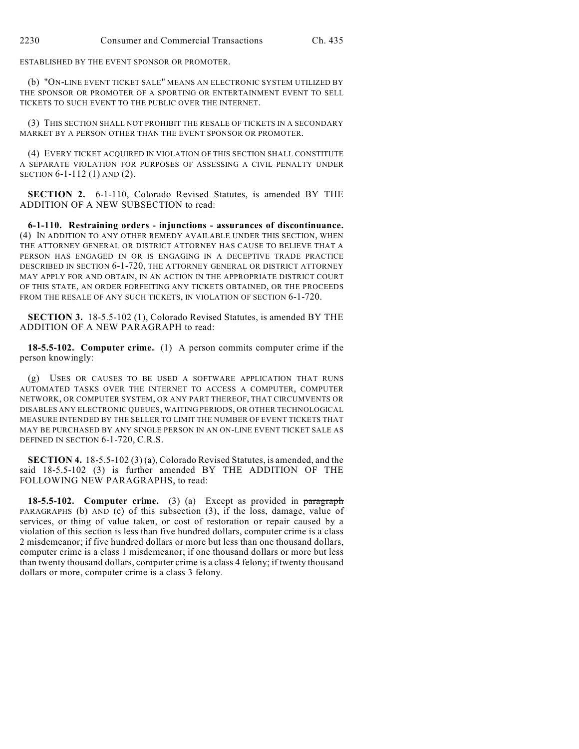ESTABLISHED BY THE EVENT SPONSOR OR PROMOTER.

(b) "ON-LINE EVENT TICKET SALE" MEANS AN ELECTRONIC SYSTEM UTILIZED BY THE SPONSOR OR PROMOTER OF A SPORTING OR ENTERTAINMENT EVENT TO SELL TICKETS TO SUCH EVENT TO THE PUBLIC OVER THE INTERNET.

(3) THIS SECTION SHALL NOT PROHIBIT THE RESALE OF TICKETS IN A SECONDARY MARKET BY A PERSON OTHER THAN THE EVENT SPONSOR OR PROMOTER.

(4) EVERY TICKET ACQUIRED IN VIOLATION OF THIS SECTION SHALL CONSTITUTE A SEPARATE VIOLATION FOR PURPOSES OF ASSESSING A CIVIL PENALTY UNDER SECTION 6-1-112 (1) AND (2).

**SECTION 2.** 6-1-110, Colorado Revised Statutes, is amended BY THE ADDITION OF A NEW SUBSECTION to read:

**6-1-110. Restraining orders - injunctions - assurances of discontinuance.** (4) IN ADDITION TO ANY OTHER REMEDY AVAILABLE UNDER THIS SECTION, WHEN THE ATTORNEY GENERAL OR DISTRICT ATTORNEY HAS CAUSE TO BELIEVE THAT A PERSON HAS ENGAGED IN OR IS ENGAGING IN A DECEPTIVE TRADE PRACTICE DESCRIBED IN SECTION 6-1-720, THE ATTORNEY GENERAL OR DISTRICT ATTORNEY MAY APPLY FOR AND OBTAIN, IN AN ACTION IN THE APPROPRIATE DISTRICT COURT OF THIS STATE, AN ORDER FORFEITING ANY TICKETS OBTAINED, OR THE PROCEEDS FROM THE RESALE OF ANY SUCH TICKETS, IN VIOLATION OF SECTION 6-1-720.

**SECTION 3.** 18-5.5-102 (1), Colorado Revised Statutes, is amended BY THE ADDITION OF A NEW PARAGRAPH to read:

**18-5.5-102. Computer crime.** (1) A person commits computer crime if the person knowingly:

(g) USES OR CAUSES TO BE USED A SOFTWARE APPLICATION THAT RUNS AUTOMATED TASKS OVER THE INTERNET TO ACCESS A COMPUTER, COMPUTER NETWORK, OR COMPUTER SYSTEM, OR ANY PART THEREOF, THAT CIRCUMVENTS OR DISABLES ANY ELECTRONIC QUEUES, WAITING PERIODS, OR OTHER TECHNOLOGICAL MEASURE INTENDED BY THE SELLER TO LIMIT THE NUMBER OF EVENT TICKETS THAT MAY BE PURCHASED BY ANY SINGLE PERSON IN AN ON-LINE EVENT TICKET SALE AS DEFINED IN SECTION 6-1-720, C.R.S.

**SECTION 4.** 18-5.5-102 (3) (a), Colorado Revised Statutes, is amended, and the said 18-5.5-102 (3) is further amended BY THE ADDITION OF THE FOLLOWING NEW PARAGRAPHS, to read:

**18-5.5-102. Computer crime.** (3) (a) Except as provided in paragraph PARAGRAPHS (b) AND (c) of this subsection (3), if the loss, damage, value of services, or thing of value taken, or cost of restoration or repair caused by a violation of this section is less than five hundred dollars, computer crime is a class 2 misdemeanor; if five hundred dollars or more but less than one thousand dollars, computer crime is a class 1 misdemeanor; if one thousand dollars or more but less than twenty thousand dollars, computer crime is a class 4 felony; if twenty thousand dollars or more, computer crime is a class 3 felony.